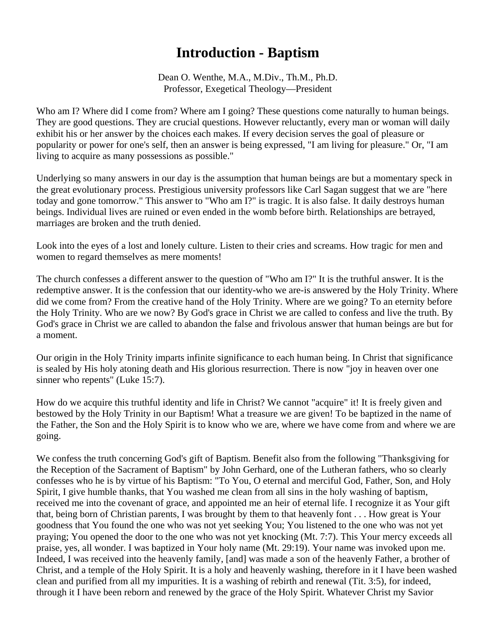## **Introduction - Baptism**

Dean O. Wenthe, M.A., M.Div., Th.M., Ph.D. Professor, Exegetical Theology—President

Who am I? Where did I come from? Where am I going? These questions come naturally to human beings. They are good questions. They are crucial questions. However reluctantly, every man or woman will daily exhibit his or her answer by the choices each makes. If every decision serves the goal of pleasure or popularity or power for one's self, then an answer is being expressed, "I am living for pleasure." Or, "I am living to acquire as many possessions as possible."

Underlying so many answers in our day is the assumption that human beings are but a momentary speck in the great evolutionary process. Prestigious university professors like Carl Sagan suggest that we are "here today and gone tomorrow." This answer to "Who am I?" is tragic. It is also false. It daily destroys human beings. Individual lives are ruined or even ended in the womb before birth. Relationships are betrayed, marriages are broken and the truth denied.

Look into the eyes of a lost and lonely culture. Listen to their cries and screams. How tragic for men and women to regard themselves as mere moments!

The church confesses a different answer to the question of "Who am I?" It is the truthful answer. It is the redemptive answer. It is the confession that our identity-who we are-is answered by the Holy Trinity. Where did we come from? From the creative hand of the Holy Trinity. Where are we going? To an eternity before the Holy Trinity. Who are we now? By God's grace in Christ we are called to confess and live the truth. By God's grace in Christ we are called to abandon the false and frivolous answer that human beings are but for a moment.

Our origin in the Holy Trinity imparts infinite significance to each human being. In Christ that significance is sealed by His holy atoning death and His glorious resurrection. There is now "joy in heaven over one sinner who repents" (Luke 15:7).

How do we acquire this truthful identity and life in Christ? We cannot "acquire" it! It is freely given and bestowed by the Holy Trinity in our Baptism! What a treasure we are given! To be baptized in the name of the Father, the Son and the Holy Spirit is to know who we are, where we have come from and where we are going.

We confess the truth concerning God's gift of Baptism. Benefit also from the following "Thanksgiving for the Reception of the Sacrament of Baptism" by John Gerhard, one of the Lutheran fathers, who so clearly confesses who he is by virtue of his Baptism: "To You, O eternal and merciful God, Father, Son, and Holy Spirit, I give humble thanks, that You washed me clean from all sins in the holy washing of baptism, received me into the covenant of grace, and appointed me an heir of eternal life. I recognize it as Your gift that, being born of Christian parents, I was brought by them to that heavenly font . . . How great is Your goodness that You found the one who was not yet seeking You; You listened to the one who was not yet praying; You opened the door to the one who was not yet knocking (Mt. 7:7). This Your mercy exceeds all praise, yes, all wonder. I was baptized in Your holy name (Mt. 29:19). Your name was invoked upon me. Indeed, I was received into the heavenly family, [and] was made a son of the heavenly Father, a brother of Christ, and a temple of the Holy Spirit. It is a holy and heavenly washing, therefore in it I have been washed clean and purified from all my impurities. It is a washing of rebirth and renewal (Tit. 3:5), for indeed, through it I have been reborn and renewed by the grace of the Holy Spirit. Whatever Christ my Savior